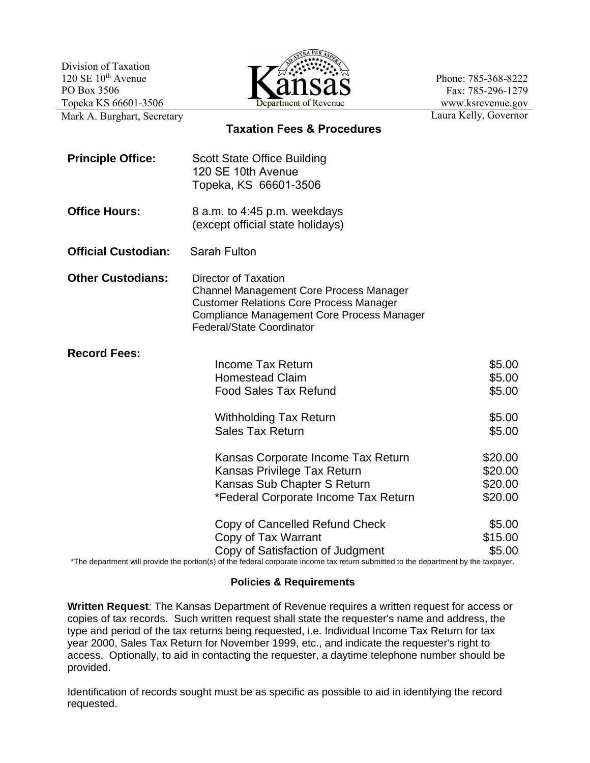Division of Taxation  $120 \text{ SE } 10^{\text{th}}$  Avenue PO Box 3506 Topeka KS 66601-3506



Phone: 785-368-8222 Fax: 785-296-1279 www.ksrevenue.gov Laura Kelly, Governor

Mark A. Burghart, Secretary

**Taxation Fees & Procedures**

| <b>Principle Office:</b>   | <b>Scott State Office Building</b><br>120 SE 10th Avenue<br>Topeka, KS 66601-3506                                                                                                                                               |                                                |
|----------------------------|---------------------------------------------------------------------------------------------------------------------------------------------------------------------------------------------------------------------------------|------------------------------------------------|
| <b>Office Hours:</b>       | 8 a.m. to 4:45 p.m. weekdays<br>(except official state holidays)                                                                                                                                                                |                                                |
| <b>Official Custodian:</b> | <b>Sarah Fulton</b>                                                                                                                                                                                                             |                                                |
| <b>Other Custodians:</b>   | <b>Director of Taxation</b><br><b>Channel Management Core Process Manager</b><br><b>Customer Relations Core Process Manager</b><br>Compliance Management Core Process Manager<br>Federal/State Coordinator                      |                                                |
| <b>Record Fees:</b>        | <b>Income Tax Return</b><br><b>Homestead Claim</b><br><b>Food Sales Tax Refund</b><br><b>Withholding Tax Return</b><br><b>Sales Tax Return</b>                                                                                  | \$5.00<br>\$5.00<br>\$5.00<br>\$5.00<br>\$5.00 |
|                            | Kansas Corporate Income Tax Return<br>Kansas Privilege Tax Return<br>Kansas Sub Chapter S Return<br>*Federal Corporate Income Tax Return                                                                                        | \$20.00<br>\$20.00<br>\$20.00<br>\$20.00       |
|                            | Copy of Cancelled Refund Check<br>Copy of Tax Warrant<br>Copy of Satisfaction of Judgment<br>*The department will provide the portion(s) of the federal corporate income tax return submitted to the department by the taxpayer | \$5.00<br>\$15.00<br>\$5.00                    |

The department will provide the portion(s) of the federal corporate income tax return submitted to the department by the taxpayer.

## **Policies & Requirements**

**Written Request**: The Kansas Department of Revenue requires a written request for access or copies of tax records. Such written request shall state the requester's name and address, the type and period of the tax returns being requested, i.e. Individual Income Tax Return for tax year 2000, Sales Tax Return for November 1999, etc., and indicate the requester's right to access. Optionally, to aid in contacting the requester, a daytime telephone number should be provided.

Identification of records sought must be as specific as possible to aid in identifying the record requested.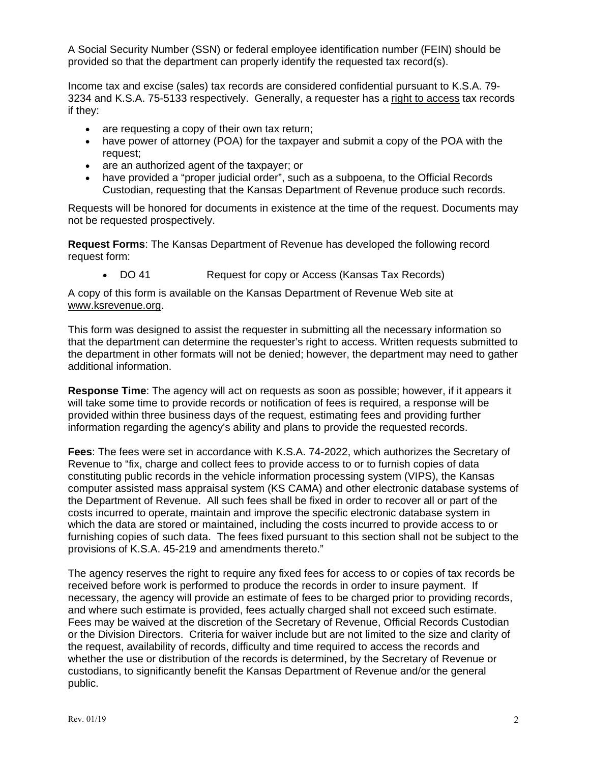A Social Security Number (SSN) or federal employee identification number (FEIN) should be provided so that the department can properly identify the requested tax record(s).

Income tax and excise (sales) tax records are considered confidential pursuant to K.S.A. 79- 3234 and K.S.A. 75-5133 respectively. Generally, a requester has a right to access tax records if they:

- are requesting a copy of their own tax return;
- have power of attorney (POA) for the taxpayer and submit a copy of the POA with the request;
- are an authorized agent of the taxpayer; or
- have provided a "proper judicial order", such as a subpoena, to the Official Records Custodian, requesting that the Kansas Department of Revenue produce such records.

Requests will be honored for documents in existence at the time of the request. Documents may not be requested prospectively.

**Request Forms**: The Kansas Department of Revenue has developed the following record request form:

• DO 41 Request for copy or Access (Kansas Tax Records)

A copy of this form is available on the Kansas Department of Revenue Web site at www.ksrevenue.org.

This form was designed to assist the requester in submitting all the necessary information so that the department can determine the requester's right to access. Written requests submitted to the department in other formats will not be denied; however, the department may need to gather additional information.

**Response Time**: The agency will act on requests as soon as possible; however, if it appears it will take some time to provide records or notification of fees is required, a response will be provided within three business days of the request, estimating fees and providing further information regarding the agency's ability and plans to provide the requested records.

**Fees**: The fees were set in accordance with K.S.A. 74-2022, which authorizes the Secretary of Revenue to "fix, charge and collect fees to provide access to or to furnish copies of data constituting public records in the vehicle information processing system (VIPS), the Kansas computer assisted mass appraisal system (KS CAMA) and other electronic database systems of the Department of Revenue. All such fees shall be fixed in order to recover all or part of the costs incurred to operate, maintain and improve the specific electronic database system in which the data are stored or maintained, including the costs incurred to provide access to or furnishing copies of such data. The fees fixed pursuant to this section shall not be subject to the provisions of K.S.A. 45-219 and amendments thereto."

The agency reserves the right to require any fixed fees for access to or copies of tax records be received before work is performed to produce the records in order to insure payment. If necessary, the agency will provide an estimate of fees to be charged prior to providing records, and where such estimate is provided, fees actually charged shall not exceed such estimate. Fees may be waived at the discretion of the Secretary of Revenue, Official Records Custodian or the Division Directors. Criteria for waiver include but are not limited to the size and clarity of the request, availability of records, difficulty and time required to access the records and whether the use or distribution of the records is determined, by the Secretary of Revenue or custodians, to significantly benefit the Kansas Department of Revenue and/or the general public.